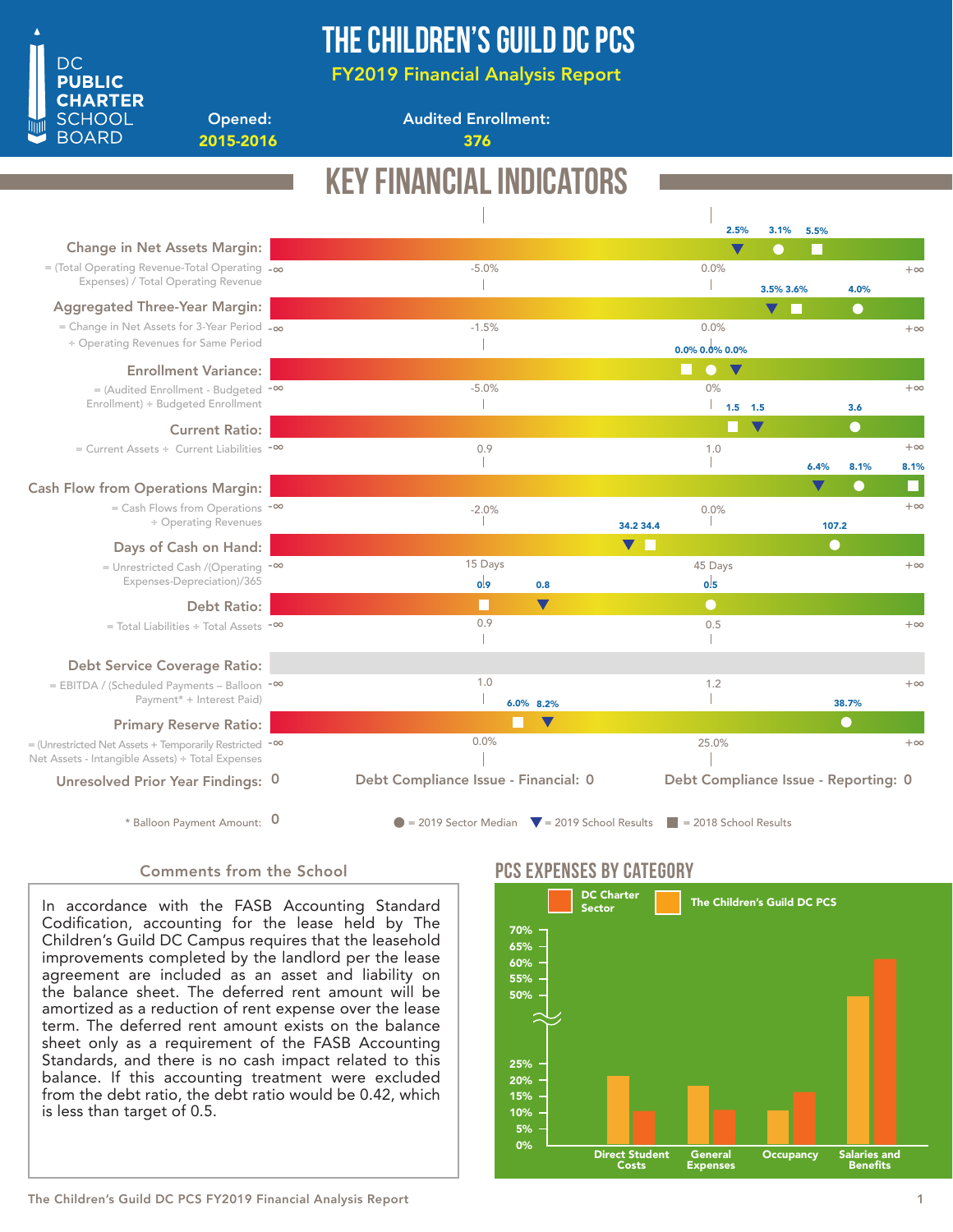

## The Children's Guild DC PCS

FY2019 Financial Analysis Report

Opened: 2015-2016 376

Audited Enrollment:

### Key Financial Indicators 3.1% 2.5% 5.5% Change in Net Assets Margin: -5.0% 0.0% = (Total Operating Revenue-Total Operating -∞  $+\infty$ Expenses) / Total Operating Revenue  $\overline{\phantom{a}}$  $\overline{\phantom{a}}$ 3.5% 3.6% 4.0% Aggregated Three-Year Margin: C 0.0% -1.5% = Change in Net Assets for 3-Year Period -∞  $+\infty$ ÷ Operating Revenues for Same Period  $\mathbb T$ 0.0% 0.0% 0.0% $\bullet$ Enrollment Variance: 0% = (Audited Enrollment - Budgeted <sup>-∞</sup> -5.0%  $+\infty$ Enrollment) ÷ Budgeted Enrollment  $\mathbb{R}$  $\mathbb{L}$ 1.5 1.5 3.6 Current Ratio: = Current Assets ÷ Current Liabilities -∞ 0.9 1.0  $+\infty$ T -1 8.1% 6.4% 8.1% Cash Flow from Operations Margin: = Cash Flows from Operations -∞  $+\infty$  $-2.0\%$  $0.0\%$ ÷ Operating Revenues 34.2 34.4 107.2  $\blacksquare$ Days of Cash on Hand: 15 Days 45 Days  $+\infty$ = Unrestricted Cash /(Operating <sup>-∞</sup> Expenses-Depreciation)/365 0.9 0.8  $0.5$  Debt Ratio: E  $\blacktriangledown$  $\bullet$ 0.9 0.5 +∞ = Total Liabilities ÷ Total Assets -∞  $\overline{\phantom{a}}$  $\overline{\phantom{a}}$ Debt Service Coverage Ratio: 1.0 = EBITDA / (Scheduled Payments – Balloon <sup>-∞</sup> 1.2  $+\infty$ Payment\* + Interest Paid)  $\overline{\phantom{a}}$  $\mathbb{R}$ 6.0% 8.2% 38.7% Primary Reserve Ratio: 0.0% 25.0% = (Unrestricted Net Assets + Temporarily Restricted <sup>-∞</sup>  $+\alpha$ Net Assets - Intangible Assets) ÷ Total Expenses Debt Compliance Issue - Financial: 0 Debt Compliance Issue - Reporting: 0 Unresolved Prior Year Findings: 0 \* Balloon Payment Amount: 0  $\bullet$  = 2019 Sector Median  $\blacktriangledown$  = 2019 School Results  $\blacktriangledown$  = 2018 School Results

### Comments from the School

In accordance with the FASB Accounting Standard Codification, accounting for the lease held by The Children's Guild DC Campus requires that the leasehold improvements completed by the landlord per the lease agreement are included as an asset and liability on the balance sheet. The deferred rent amount will be amortized as a reduction of rent expense over the lease term. The deferred rent amount exists on the balance sheet only as a requirement of the FASB Accounting Standards, and there is no cash impact related to this balance. If this accounting treatment were excluded from the debt ratio, the debt ratio would be 0.42, which is less than target of 0.5.

### PCS Expenses by catEgory

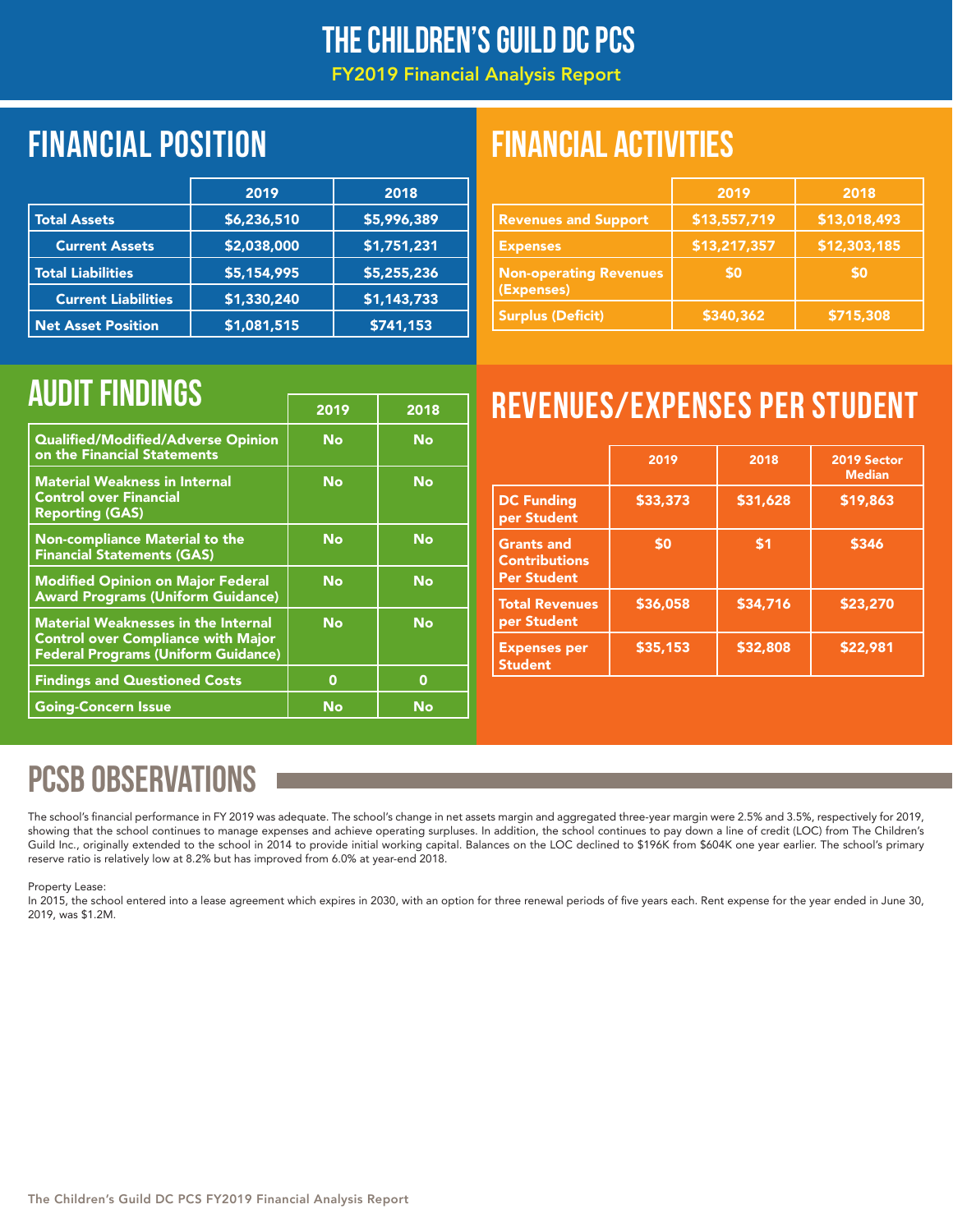### The Children's Guild DC PCS

FY2019 Financial Analysis Report

## Financial position FINANCIAL ACTIVITIES

|                            | 2019        | 2018        |
|----------------------------|-------------|-------------|
| <b>Total Assets</b>        | \$6,236,510 | \$5,996,389 |
| <b>Current Assets</b>      | \$2,038,000 | \$1,751,231 |
| <b>Total Liabilities</b>   | \$5,154,995 | \$5,255,236 |
| <b>Current Liabilities</b> | \$1,330,240 | \$1,143,733 |
| <b>Net Asset Position</b>  | \$1,081,515 | \$741,153   |

|                                             | 2019         | 2018         |
|---------------------------------------------|--------------|--------------|
| <b>Revenues and Support</b>                 | \$13,557,719 | \$13,018,493 |
| <b>Expenses</b>                             | \$13,217,357 | \$12,303,185 |
| <b>Non-operating Revenues</b><br>(Expenses) | \$0          | \$0          |
| <b>Surplus (Deficit)</b>                    | \$340,362    | \$715,308    |

|                                                                                                                                       | 2019 | 2018 |
|---------------------------------------------------------------------------------------------------------------------------------------|------|------|
| Qualified/Modified/Adverse Opinion<br>on the Financial Statements                                                                     | No   | No   |
| <b>Material Weakness in Internal</b><br><b>Control over Financial</b><br><b>Reporting (GAS)</b>                                       | No   | No   |
| <b>Non-compliance Material to the</b><br><b>Financial Statements (GAS)</b>                                                            | No   | No   |
| <b>Modified Opinion on Major Federal</b><br><b>Award Programs (Uniform Guidance)</b>                                                  | No   | No   |
| <b>Material Weaknesses in the Internal</b><br><b>Control over Compliance with Major</b><br><b>Federal Programs (Uniform Guidance)</b> | No   | No   |
| <b>Findings and Questioned Costs</b>                                                                                                  | 0    | 0    |
| <b>Going-Concern Issue</b>                                                                                                            | No   | No   |

# AUDIT FINDINGS **AUDIT FINDINGS**

|                                                                 | 2019     | 2018     | 2019 Sector<br><b>Median</b> |
|-----------------------------------------------------------------|----------|----------|------------------------------|
| <b>DC Funding</b><br>per Student                                | \$33,373 | \$31,628 | \$19,863                     |
| <b>Grants and</b><br><b>Contributions</b><br><b>Per Student</b> | \$0      | \$1      | \$346                        |
| <b>Total Revenues</b><br>per Student                            | \$36,058 | \$34,716 | \$23,270                     |
| <b>Expenses per</b><br><b>Student</b>                           | \$35,153 | \$32,808 | \$22,981                     |

## PCSB OBSERVATIONS

The school's financial performance in FY 2019 was adequate. The school's change in net assets margin and aggregated three-year margin were 2.5% and 3.5%, respectively for 2019, showing that the school continues to manage expenses and achieve operating surpluses. In addition, the school continues to pay down a line of credit (LOC) from The Children's Guild Inc., originally extended to the school in 2014 to provide initial working capital. Balances on the LOC declined to \$196K from \$604K one year earlier. The school's primary reserve ratio is relatively low at 8.2% but has improved from 6.0% at year-end 2018.

### Property Lease:

In 2015, the school entered into a lease agreement which expires in 2030, with an option for three renewal periods of five years each. Rent expense for the year ended in June 30, 2019, was \$1.2M.